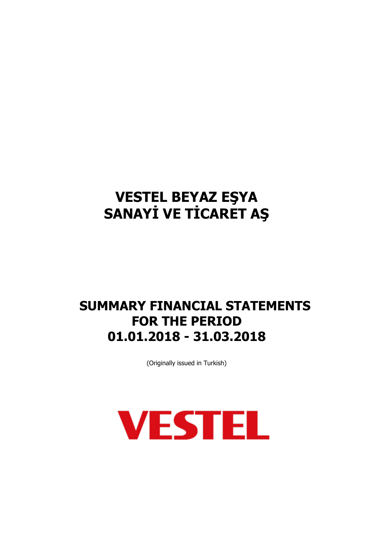## **SUMMARY FINANCIAL STATEMENTS FOR THE PERIOD 01.01.2018 - 31.03.2018**

(Originally issued in Turkish)

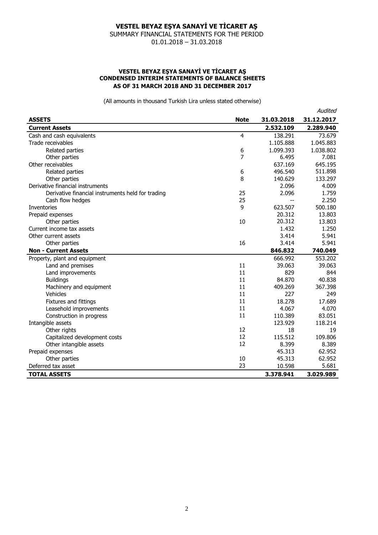SUMMARY FINANCIAL STATEMENTS FOR THE PERIOD 01.01.2018 – 31.03.2018

#### **VESTEL BEYAZ EŞYA SANAYİ VE TİCARET AŞ CONDENSED INTERIM STATEMENTS OF BALANCE SHEETS AS OF 31 MARCH 2018 AND 31 DECEMBER 2017**

|                                                   |                |            | Audited    |
|---------------------------------------------------|----------------|------------|------------|
| <b>ASSETS</b>                                     | <b>Note</b>    | 31.03.2018 | 31.12.2017 |
| <b>Current Assets</b>                             |                | 2.532.109  | 2.289.940  |
| Cash and cash equivalents                         | $\overline{4}$ | 138.291    | 73.679     |
| Trade receivables                                 |                | 1.105.888  | 1.045.883  |
| Related parties                                   | 6              | 1.099.393  | 1.038.802  |
| Other parties                                     | 7              | 6.495      | 7.081      |
| Other receivables                                 |                | 637.169    | 645.195    |
| Related parties                                   | 6              | 496.540    | 511.898    |
| Other parties                                     | 8              | 140.629    | 133.297    |
| Derivative financial instruments                  |                | 2.096      | 4.009      |
| Derivative financial instruments held for trading | 25             | 2.096      | 1.759      |
| Cash flow hedges                                  | 25             |            | 2.250      |
| <b>Inventories</b>                                | 9              | 623.507    | 500.180    |
| Prepaid expenses                                  |                | 20.312     | 13.803     |
| Other parties                                     | 10             | 20.312     | 13.803     |
| Current income tax assets                         |                | 1.432      | 1.250      |
| Other current assets                              |                | 3.414      | 5.941      |
| Other parties                                     | 16             | 3.414      | 5.941      |
| <b>Non - Current Assets</b>                       |                | 846.832    | 740.049    |
| Property, plant and equipment                     |                | 666.992    | 553.202    |
| Land and premises                                 | 11             | 39.063     | 39.063     |
| Land improvements                                 | 11             | 829        | 844        |
| <b>Buildings</b>                                  | 11             | 84.870     | 40.838     |
| Machinery and equipment                           | 11             | 409.269    | 367.398    |
| Vehicles                                          | 11             | 227        | 249        |
| Fixtures and fittings                             | 11             | 18.278     | 17.689     |
| Leasehold improvements                            | 11             | 4.067      | 4.070      |
| Construction in progress                          | 11             | 110.389    | 83.051     |
| Intangible assets                                 |                | 123.929    | 118.214    |
| Other rights                                      | 12             | 18         | 19         |
| Capitalized development costs                     | 12             | 115.512    | 109.806    |
| Other intangible assets                           | 12             | 8.399      | 8.389      |
| Prepaid expenses                                  |                | 45.313     | 62.952     |
| Other parties                                     | 10             | 45.313     | 62.952     |
| Deferred tax asset                                | 23             | 10.598     | 5.681      |
| <b>TOTAL ASSETS</b>                               |                | 3.378.941  | 3.029.989  |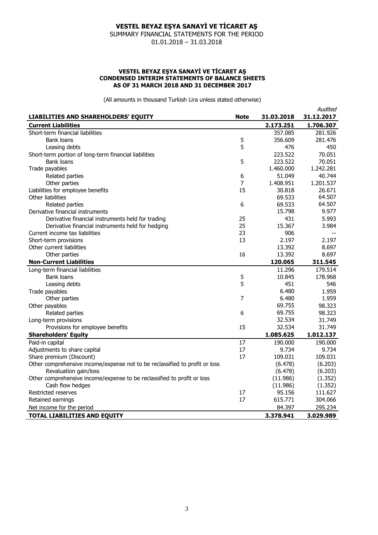SUMMARY FINANCIAL STATEMENTS FOR THE PERIOD 01.01.2018 – 31.03.2018

#### **VESTEL BEYAZ EŞYA SANAYİ VE TİCARET AŞ CONDENSED INTERIM STATEMENTS OF BALANCE SHEETS AS OF 31 MARCH 2018 AND 31 DECEMBER 2017**

|                                                                             |             |            | Audited    |
|-----------------------------------------------------------------------------|-------------|------------|------------|
| LIABILITIES AND SHAREHOLDERS' EQUITY                                        | <b>Note</b> | 31.03.2018 | 31.12.2017 |
| <b>Current Liabilities</b>                                                  |             | 2.173.251  | 1.706.307  |
| Short-term financial liabilities                                            |             | 357.085    | 281.926    |
| <b>Bank loans</b>                                                           | 5           | 356.609    | 281.476    |
| Leasing debts                                                               | 5           | 476        | 450        |
| Short-term portion of long-term financial liabilities                       |             | 223.522    | 70.051     |
| Bank loans                                                                  | 5           | 223.522    | 70.051     |
| Trade payables                                                              |             | 1.460.000  | 1.242.281  |
| Related parties                                                             | 6           | 51.049     | 40.744     |
| Other parties                                                               | 7           | 1.408.951  | 1.201.537  |
| Liabilities for employee benefits                                           | 15          | 30.818     | 26.671     |
| Other liabilities                                                           |             | 69.533     | 64.507     |
| Related parties                                                             | 6           | 69.533     | 64.507     |
| Derivative financial instruments                                            |             | 15.798     | 9.977      |
| Derivative financial instruments held for trading                           | 25          | 431        | 5.993      |
| Derivative financial instruments held for hedging                           | 25          | 15.367     | 3.984      |
| Current income tax liabilities                                              | 23          | 906        |            |
| Short-term provisions                                                       | 13          | 2.197      | 2.197      |
| Other current liabilities                                                   |             | 13.392     | 8.697      |
| Other parties                                                               | 16          | 13.392     | 8.697      |
| <b>Non-Current Liabilities</b>                                              |             | 120.065    | 311.545    |
| Long-term financial liabilities                                             |             | 11.296     | 179.514    |
| <b>Bank loans</b>                                                           | 5           | 10.845     | 178.968    |
| Leasing debts                                                               | 5           | 451        | 546        |
| Trade payables                                                              |             | 6.480      | 1.959      |
| Other parties                                                               | 7           | 6.480      | 1.959      |
| Other payables                                                              |             | 69.755     | 98.323     |
| Related parties                                                             | 6           | 69.755     | 98.323     |
| Long-term provisions                                                        |             | 32.534     | 31.749     |
| Provisions for employee benefits                                            | 15          | 32.534     | 31.749     |
| <b>Shareholders' Equity</b>                                                 |             | 1.085.625  | 1.012.137  |
| Paid-in capital                                                             | 17          | 190.000    | 190.000    |
| Adjustments to share capital                                                | 17          | 9.734      | 9.734      |
| Share premium (Discount)                                                    | 17          | 109.031    | 109.031    |
| Other comprehensive income/expense not to be reclassified to profit or loss |             | (6.478)    | (6.203)    |
| Revaluation gain/loss                                                       |             | (6.478)    | (6.203)    |
| Other comprehensive income/expense to be reclassified to profit or loss     |             | (11.986)   | (1.352)    |
| Cash flow hedges                                                            |             | (11.986)   | (1.352)    |
| Restricted reserves                                                         | 17          | 95.156     | 111.627    |
| Retained earnings                                                           | 17          | 615.771    | 304.066    |
| Net income for the period                                                   |             | 84.397     | 295.234    |
| <b>TOTAL LIABILITIES AND EQUITY</b>                                         |             | 3.378.941  | 3.029.989  |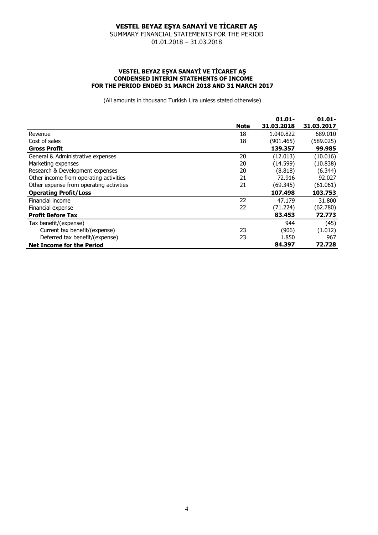SUMMARY FINANCIAL STATEMENTS FOR THE PERIOD 01.01.2018 – 31.03.2018

#### **VESTEL BEYAZ EŞYA SANAYİ VE TİCARET AŞ CONDENSED INTERIM STATEMENTS OF INCOME FOR THE PERIOD ENDED 31 MARCH 2018 AND 31 MARCH 2017**

|                                         |             | $01.01 -$  | $01.01 -$  |
|-----------------------------------------|-------------|------------|------------|
|                                         | <b>Note</b> | 31.03.2018 | 31.03.2017 |
| Revenue                                 | 18          | 1.040.822  | 689.010    |
| Cost of sales                           | 18          | (901.465)  | (589.025)  |
| <b>Gross Profit</b>                     |             | 139.357    | 99.985     |
| General & Administrative expenses       | 20          | (12.013)   | (10.016)   |
| Marketing expenses                      | 20          | (14.599)   | (10.838)   |
| Research & Development expenses         | 20          | (8.818)    | (6.344)    |
| Other income from operating activities  | 21          | 72.916     | 92.027     |
| Other expense from operating activities | 21          | (69.345)   | (61.061)   |
| <b>Operating Profit/Loss</b>            |             | 107.498    | 103.753    |
| Financial income                        | 22          | 47.179     | 31,800     |
| Financial expense                       | 22          | (71.224)   | (62.780)   |
| <b>Profit Before Tax</b>                |             | 83.453     | 72.773     |
| Tax benefit/(expense)                   |             | 944        | (45)       |
| Current tax benefit/(expense)           | 23          | (906)      | (1.012)    |
| Deferred tax benefit/(expense)          | 23          | 1.850      | 967        |
| <b>Net Income for the Period</b>        |             | 84.397     | 72.728     |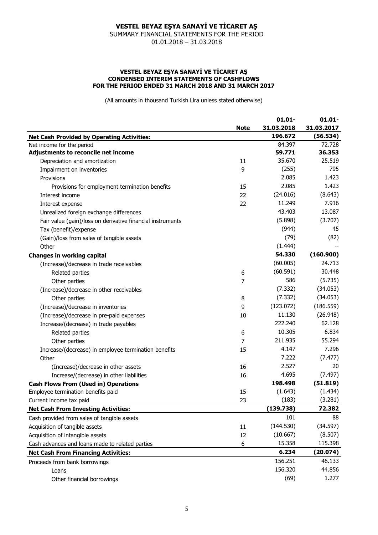SUMMARY FINANCIAL STATEMENTS FOR THE PERIOD 01.01.2018 – 31.03.2018

#### **VESTEL BEYAZ EŞYA SANAYİ VE TİCARET AŞ CONDENSED INTERIM STATEMENTS OF CASHFLOWS FOR THE PERIOD ENDED 31 MARCH 2018 AND 31 MARCH 2017**

|                                                            |             | $01.01 -$  | $01.01 -$  |
|------------------------------------------------------------|-------------|------------|------------|
|                                                            | <b>Note</b> | 31.03.2018 | 31.03.2017 |
| <b>Net Cash Provided by Operating Activities:</b>          |             | 196.672    | (56.534)   |
| Net income for the period                                  |             | 84.397     | 72.728     |
| Adjustments to reconcile net income                        |             | 59.771     | 36.353     |
| Depreciation and amortization                              | 11          | 35.670     | 25.519     |
| Impairment on inventories                                  | 9           | (255)      | 795        |
| Provisions                                                 |             | 2.085      | 1.423      |
| Provisions for employment termination benefits             | 15          | 2.085      | 1.423      |
| Interest income                                            | 22          | (24.016)   | (8.643)    |
| Interest expense                                           | 22          | 11.249     | 7.916      |
| Unrealized foreign exchange differences                    |             | 43.403     | 13.087     |
| Fair value (gain)/loss on derivative financial instruments |             | (5.898)    | (3.707)    |
| Tax (benefit)/expense                                      |             | (944)      | 45         |
| (Gain)/loss from sales of tangible assets                  |             | (79)       | (82)       |
| Other                                                      |             | (1.444)    |            |
| <b>Changes in working capital</b>                          |             | 54.330     | (160.900)  |
| (Increase)/decrease in trade receivables                   |             | (60.005)   | 24.713     |
| Related parties                                            | 6           | (60.591)   | 30.448     |
| Other parties                                              | 7           | 586        | (5.735)    |
| (Increase)/decrease in other receivables                   |             | (7.332)    | (34.053)   |
| Other parties                                              | 8           | (7.332)    | (34.053)   |
| (Increase)/decrease in inventories                         | 9           | (123.072)  | (186.559)  |
| (Increase)/decrease in pre-paid expenses                   | 10          | 11.130     | (26.948)   |
| Increase/(decrease) in trade payables                      |             | 222.240    | 62.128     |
| Related parties                                            | 6           | 10.305     | 6.834      |
| Other parties                                              | 7           | 211.935    | 55.294     |
| Increase/(decrease) in employee termination benefits       | 15          | 4.147      | 7.296      |
| Other                                                      |             | 7.222      | (7.477)    |
| (Increase)/decrease in other assets                        | 16          | 2.527      | 20         |
| Increase/(decrease) in other liabilities                   | 16          | 4.695      | (7.497)    |
| <b>Cash Flows From (Used in) Operations</b>                |             | 198,498    | (51.819)   |
| Employee termination benefits paid                         | 15          | (1.643)    | (1.434)    |
| Current income tax paid                                    | 23          | (183)      | (3.281)    |
| <b>Net Cash From Investing Activities:</b>                 |             | (139.738)  | 72.382     |
| Cash provided from sales of tangible assets                |             | 101        | 88         |
| Acquisition of tangible assets                             | 11          | (144.530)  | (34.597)   |
| Acquisition of intangible assets                           | 12          | (10.667)   | (8.507)    |
| Cash advances and loans made to related parties            | 6           | 15.358     | 115.398    |
| <b>Net Cash From Financing Activities:</b>                 |             | 6.234      | (20.074)   |
| Proceeds from bank borrowings                              |             | 156.251    | 46.133     |
| Loans                                                      |             | 156.320    | 44.856     |
| Other financial borrowings                                 |             | (69)       | 1.277      |